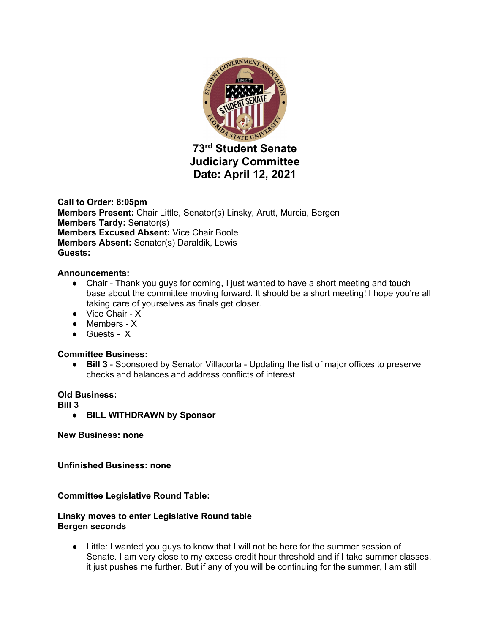

**Call to Order: 8:05pm Members Present:** Chair Little, Senator(s) Linsky, Arutt, Murcia, Bergen **Members Tardy:** Senator(s) **Members Excused Absent:** Vice Chair Boole **Members Absent:** Senator(s) Daraldik, Lewis **Guests:** 

## **Announcements:**

- Chair Thank you guys for coming, I just wanted to have a short meeting and touch base about the committee moving forward. It should be a short meeting! I hope you're all taking care of yourselves as finals get closer.
- Vice Chair X
- Members X
- Guests X

#### **Committee Business:**

● **Bill 3** - Sponsored by Senator Villacorta - Updating the list of major offices to preserve checks and balances and address conflicts of interest

#### **Old Business:**

**Bill 3** 

● **BILL WITHDRAWN by Sponsor**

**New Business: none**

**Unfinished Business: none**

#### **Committee Legislative Round Table:**

## **Linsky moves to enter Legislative Round table Bergen seconds**

● Little: I wanted you guys to know that I will not be here for the summer session of Senate. I am very close to my excess credit hour threshold and if I take summer classes, it just pushes me further. But if any of you will be continuing for the summer, I am still